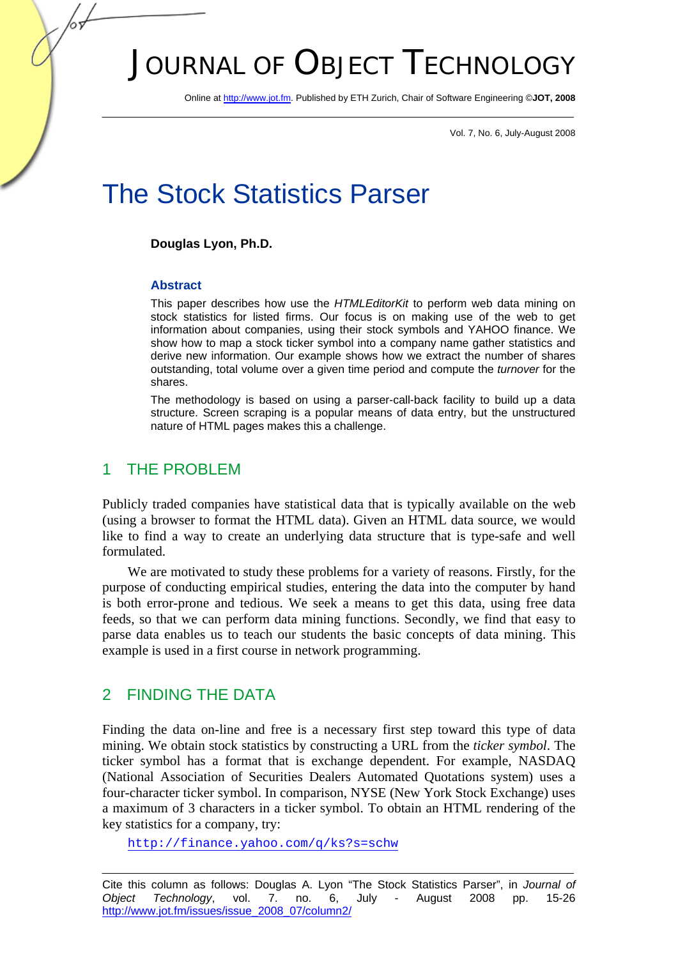# JOURNAL OF OBJECT TECHNOLOGY

Online at http://www.jot.fm. Published by ETH Zurich, Chair of Software Engineering ©**JOT, 2008** 

Vol. 7, No. 6, July-August 2008

## The Stock Statistics Parser

#### **Douglas Lyon, Ph.D.**

#### **Abstract**

This paper describes how use the *HTMLEditorKit* to perform web data mining on stock statistics for listed firms. Our focus is on making use of the web to get information about companies, using their stock symbols and YAHOO finance. We show how to map a stock ticker symbol into a company name gather statistics and derive new information. Our example shows how we extract the number of shares outstanding, total volume over a given time period and compute the *turnover* for the shares.

The methodology is based on using a parser-call-back facility to build up a data structure. Screen scraping is a popular means of data entry, but the unstructured nature of HTML pages makes this a challenge.

## 1 THE PROBLEM

Publicly traded companies have statistical data that is typically available on the web (using a browser to format the HTML data). Given an HTML data source, we would like to find a way to create an underlying data structure that is type-safe and well formulated.

We are motivated to study these problems for a variety of reasons. Firstly, for the purpose of conducting empirical studies, entering the data into the computer by hand is both error-prone and tedious. We seek a means to get this data, using free data feeds, so that we can perform data mining functions. Secondly, we find that easy to parse data enables us to teach our students the basic concepts of data mining. This example is used in a first course in network programming.

## 2 FINDING THE DATA

Finding the data on-line and free is a necessary first step toward this type of data mining. We obtain stock statistics by constructing a URL from the *ticker symbol*. The ticker symbol has a format that is exchange dependent. For example, NASDAQ (National Association of Securities Dealers Automated Quotations system) uses a four-character ticker symbol. In comparison, NYSE (New York Stock Exchange) uses a maximum of 3 characters in a ticker symbol. To obtain an HTML rendering of the key statistics for a company, try:

http://finance.yahoo.com/q/ks?s=schw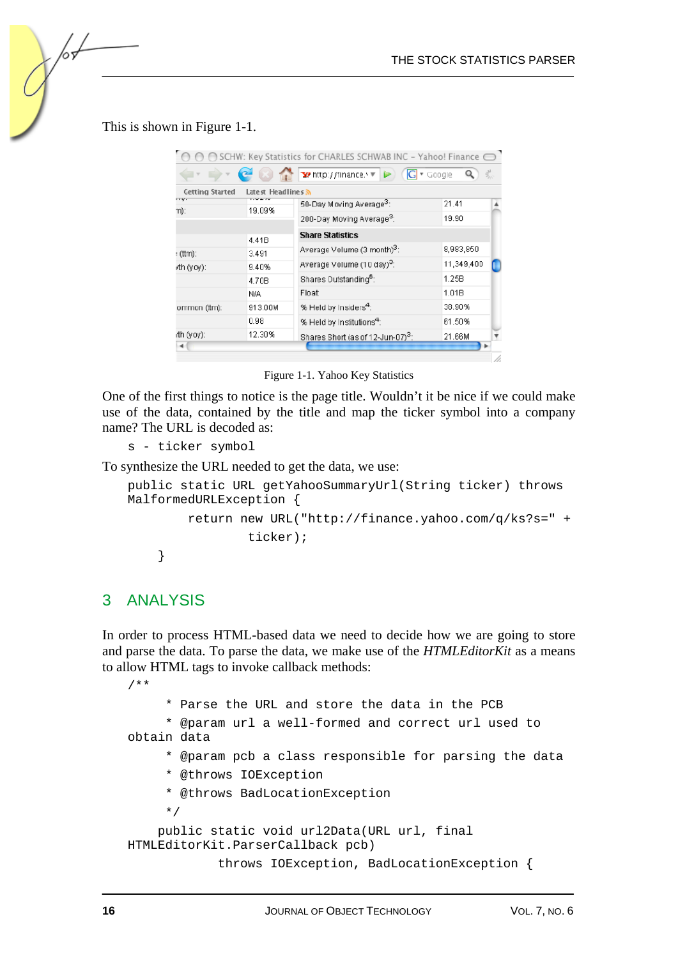This is shown in Figure 1-1.

| $\tilde{\Xi}^M_{\mu\nu}$<br>To http://finance.v ▼<br>$ G $ $\le$ Google<br>Latest Headlines 3<br><b>Getting Started</b><br>my.<br>1.947<br>50-Day Moving Average <sup>3</sup> :<br>21.41<br>19.09%<br>m):<br>200-Day Moving Average <sup>3</sup> :<br>19.90<br><b>Share Statistics</b><br>4.41B<br>Average Volume (3 month) <sup>3</sup> :<br>8,983,850<br>3.491<br>: (ttm):<br>Average Volume (10 day) <sup>3</sup> :<br>11,349,400<br>9.40%<br>Shares Dutstanding <sup>6</sup> :<br>1.25B<br>4.70B<br>1.01B<br>Float<br>N/A<br>% Held by Insiders <sup>4</sup> :<br>38.90%<br>913.00M<br>ommon (ttm):<br>0.98<br>% Held by Institutions <sup>4</sup> :<br>61.50%<br>12.30%<br>Shares Short (as of 12-Jun-07) <sup>3</sup> :<br>21.66M<br>۰ |            | SCHW: Key Statistics for CHARLES SCHWAB INC - Yahoo! Finance ( |  |
|----------------------------------------------------------------------------------------------------------------------------------------------------------------------------------------------------------------------------------------------------------------------------------------------------------------------------------------------------------------------------------------------------------------------------------------------------------------------------------------------------------------------------------------------------------------------------------------------------------------------------------------------------------------------------------------------------------------------------------------------|------------|----------------------------------------------------------------|--|
|                                                                                                                                                                                                                                                                                                                                                                                                                                                                                                                                                                                                                                                                                                                                              |            |                                                                |  |
|                                                                                                                                                                                                                                                                                                                                                                                                                                                                                                                                                                                                                                                                                                                                              |            |                                                                |  |
|                                                                                                                                                                                                                                                                                                                                                                                                                                                                                                                                                                                                                                                                                                                                              |            |                                                                |  |
|                                                                                                                                                                                                                                                                                                                                                                                                                                                                                                                                                                                                                                                                                                                                              |            |                                                                |  |
|                                                                                                                                                                                                                                                                                                                                                                                                                                                                                                                                                                                                                                                                                                                                              |            |                                                                |  |
|                                                                                                                                                                                                                                                                                                                                                                                                                                                                                                                                                                                                                                                                                                                                              |            |                                                                |  |
|                                                                                                                                                                                                                                                                                                                                                                                                                                                                                                                                                                                                                                                                                                                                              | rth (yoy): |                                                                |  |
|                                                                                                                                                                                                                                                                                                                                                                                                                                                                                                                                                                                                                                                                                                                                              |            |                                                                |  |
|                                                                                                                                                                                                                                                                                                                                                                                                                                                                                                                                                                                                                                                                                                                                              |            |                                                                |  |
|                                                                                                                                                                                                                                                                                                                                                                                                                                                                                                                                                                                                                                                                                                                                              |            |                                                                |  |
|                                                                                                                                                                                                                                                                                                                                                                                                                                                                                                                                                                                                                                                                                                                                              |            |                                                                |  |
|                                                                                                                                                                                                                                                                                                                                                                                                                                                                                                                                                                                                                                                                                                                                              | rth (yoy): |                                                                |  |
|                                                                                                                                                                                                                                                                                                                                                                                                                                                                                                                                                                                                                                                                                                                                              |            |                                                                |  |

Figure 1-1. Yahoo Key Statistics

One of the first things to notice is the page title. Wouldn't it be nice if we could make use of the data, contained by the title and map the ticker symbol into a company name? The URL is decoded as:

s - ticker symbol

To synthesize the URL needed to get the data, we use:

```
public static URL getYahooSummaryUrl(String ticker) throws 
MalformedURLException { 
         return new URL("http://finance.yahoo.com/q/ks?s=" + 
                  ticker); 
     }
```
#### 3 ANALYSIS

In order to process HTML-based data we need to decide how we are going to store and parse the data. To parse the data, we make use of the *HTMLEditorKit* as a means to allow HTML tags to invoke callback methods:

```
/** 
      * Parse the URL and store the data in the PCB 
      * @param url a well-formed and correct url used to 
obtain data 
      * @param pcb a class responsible for parsing the data 
      * @throws IOException 
      * @throws BadLocationException 
      */ 
     public static void url2Data(URL url, final 
HTMLEditorKit.ParserCallback pcb) 
              throws IOException, BadLocationException {
```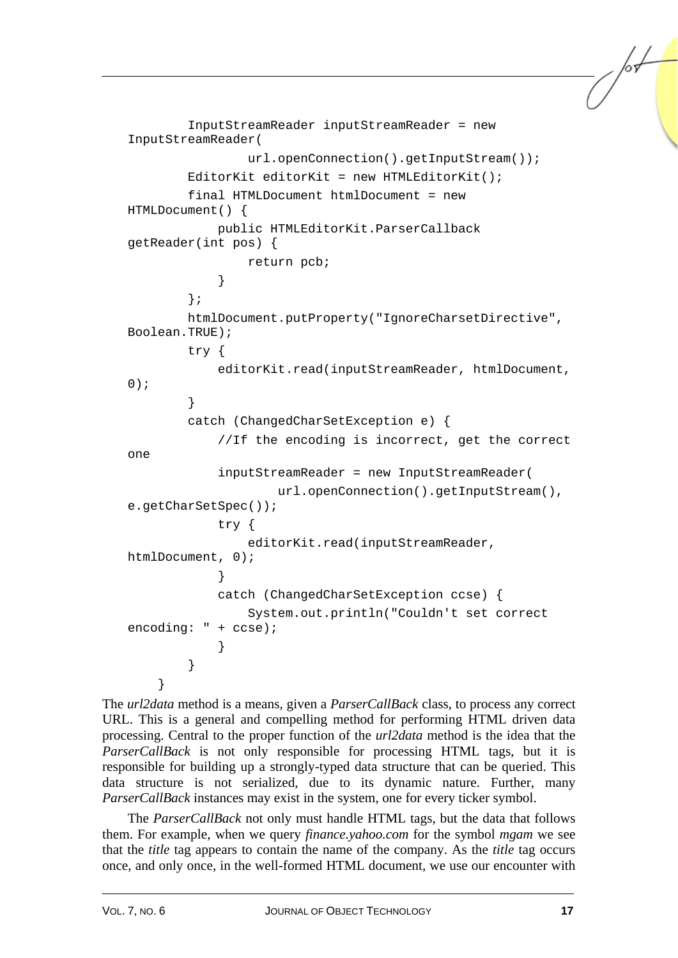```
 InputStreamReader inputStreamReader = new 
InputStreamReader( 
                url.openConnection().getInputStream());
        EditorKit editorKit = new HTMLEditorKit();
         final HTMLDocument htmlDocument = new 
HTMLDocument() { 
             public HTMLEditorKit.ParserCallback 
getReader(int pos) { 
                 return pcb; 
 } 
         }; 
         htmlDocument.putProperty("IgnoreCharsetDirective", 
Boolean.TRUE); 
         try { 
            editorKit.read(inputStreamReader, htmlDocument,
0); 
 } 
         catch (ChangedCharSetException e) { 
             //If the encoding is incorrect, get the correct 
one 
             inputStreamReader = new InputStreamReader( 
                     url.openConnection().getInputStream(), 
e.getCharSetSpec()); 
             try { 
                editorKit.read(inputStreamReader,
htmlDocument, 0); 
 } 
             catch (ChangedCharSetException ccse) { 
                 System.out.println("Couldn't set correct 
encoding: " + ccse); 
 } 
 } 
     }
```
The *url2data* method is a means, given a *ParserCallBack* class, to process any correct URL. This is a general and compelling method for performing HTML driven data processing. Central to the proper function of the *url2data* method is the idea that the *ParserCallBack* is not only responsible for processing HTML tags, but it is responsible for building up a strongly-typed data structure that can be queried. This data structure is not serialized, due to its dynamic nature. Further, many *ParserCallBack* instances may exist in the system, one for every ticker symbol.

The *ParserCallBack* not only must handle HTML tags, but the data that follows them. For example, when we query *finance.yahoo.com* for the symbol *mgam* we see that the *title* tag appears to contain the name of the company. As the *title* tag occurs once, and only once, in the well-formed HTML document, we use our encounter with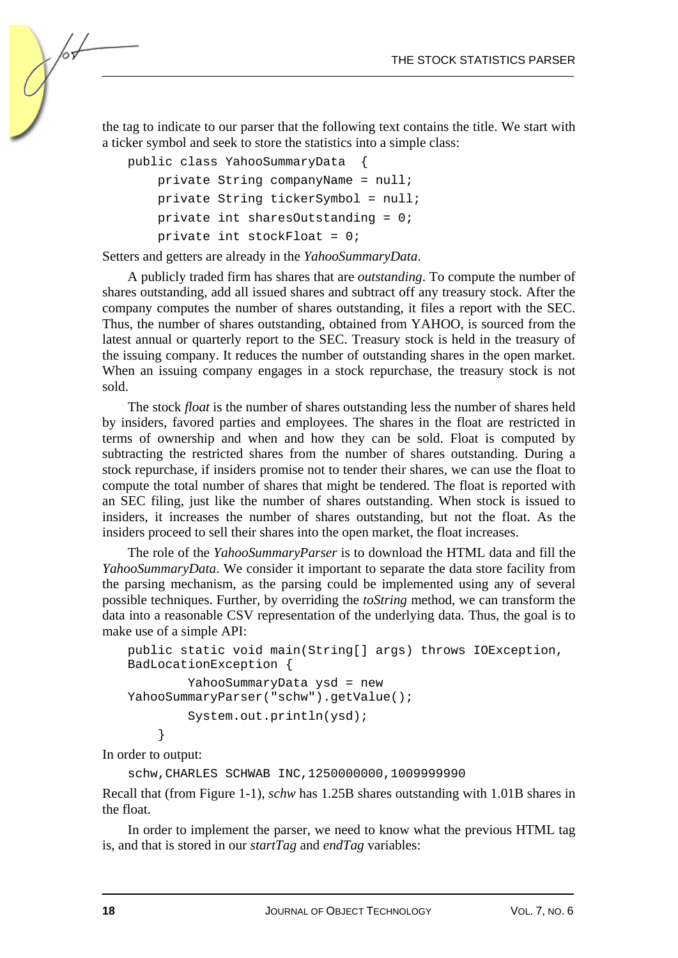the tag to indicate to our parser that the following text contains the title. We start with a ticker symbol and seek to store the statistics into a simple class:

```
public class YahooSummaryData { 
     private String companyName = null; 
     private String tickerSymbol = null; 
     private int sharesOutstanding = 0; 
     private int stockFloat = 0;
```
Setters and getters are already in the *YahooSummaryData*.

A publicly traded firm has shares that are *outstanding*. To compute the number of shares outstanding, add all issued shares and subtract off any treasury stock. After the company computes the number of shares outstanding, it files a report with the SEC. Thus, the number of shares outstanding, obtained from YAHOO, is sourced from the latest annual or quarterly report to the SEC. Treasury stock is held in the treasury of the issuing company. It reduces the number of outstanding shares in the open market. When an issuing company engages in a stock repurchase, the treasury stock is not sold.

The stock *float* is the number of shares outstanding less the number of shares held by insiders, favored parties and employees. The shares in the float are restricted in terms of ownership and when and how they can be sold. Float is computed by subtracting the restricted shares from the number of shares outstanding. During a stock repurchase, if insiders promise not to tender their shares, we can use the float to compute the total number of shares that might be tendered. The float is reported with an SEC filing, just like the number of shares outstanding. When stock is issued to insiders, it increases the number of shares outstanding, but not the float. As the insiders proceed to sell their shares into the open market, the float increases.

The role of the *YahooSummaryParser* is to download the HTML data and fill the *YahooSummaryData*. We consider it important to separate the data store facility from the parsing mechanism, as the parsing could be implemented using any of several possible techniques. Further, by overriding the *toString* method, we can transform the data into a reasonable CSV representation of the underlying data. Thus, the goal is to make use of a simple API:

```
public static void main(String[] args) throws IOException, 
BadLocationException { 
         YahooSummaryData ysd = new 
YahooSummaryParser("schw").getValue(); 
         System.out.println(ysd); 
     }
```
In order to output:

```
schw,CHARLES SCHWAB INC,1250000000,1009999990
```
Recall that (from Figure 1-1), *schw* has 1.25B shares outstanding with 1.01B shares in the float.

In order to implement the parser, we need to know what the previous HTML tag is, and that is stored in our *startTag* and *endTag* variables: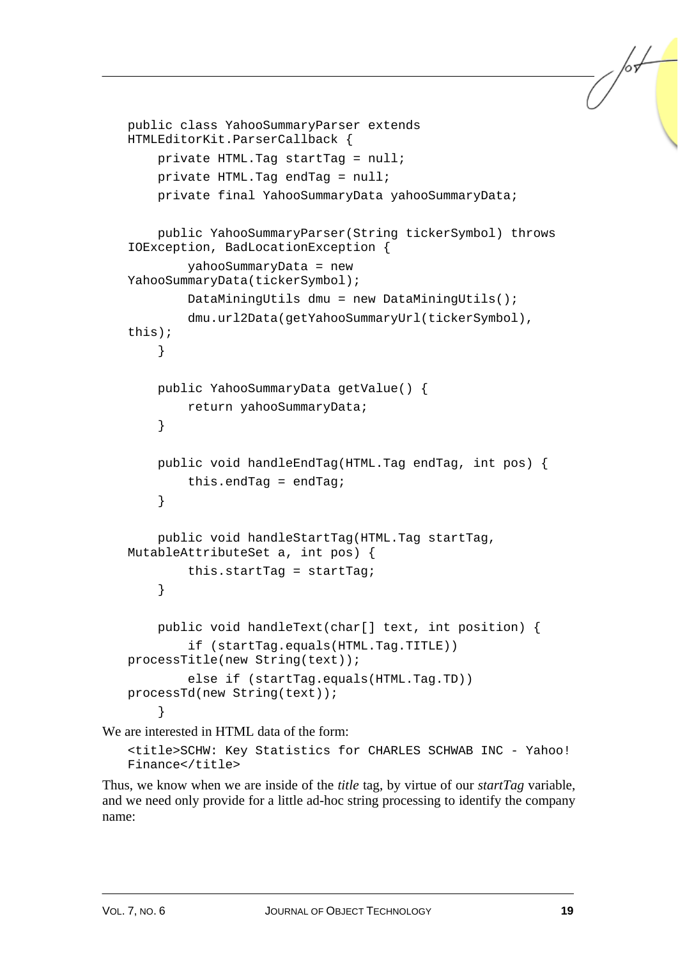```
public class YahooSummaryParser extends 
HTMLEditorKit.ParserCallback { 
     private HTML.Tag startTag = null; 
     private HTML.Tag endTag = null; 
     private final YahooSummaryData yahooSummaryData; 
     public YahooSummaryParser(String tickerSymbol) throws 
IOException, BadLocationException { 
         yahooSummaryData = new 
YahooSummaryData(tickerSymbol); 
         DataMiningUtils dmu = new DataMiningUtils(); 
         dmu.url2Data(getYahooSummaryUrl(tickerSymbol), 
this); 
     } 
     public YahooSummaryData getValue() { 
         return yahooSummaryData; 
     } 
     public void handleEndTag(HTML.Tag endTag, int pos) { 
        this.endTaq = endTag;
     } 
     public void handleStartTag(HTML.Tag startTag, 
MutableAttributeSet a, int pos) { 
         this.startTag = startTag; 
     } 
     public void handleText(char[] text, int position) { 
         if (startTag.equals(HTML.Tag.TITLE)) 
processTitle(new String(text)); 
         else if (startTag.equals(HTML.Tag.TD)) 
processTd(new String(text)); 
     }
```
We are interested in HTML data of the form: <title>SCHW: Key Statistics for CHARLES SCHWAB INC - Yahoo!

Finance</title>

Thus, we know when we are inside of the *title* tag, by virtue of our *startTag* variable, and we need only provide for a little ad-hoc string processing to identify the company name: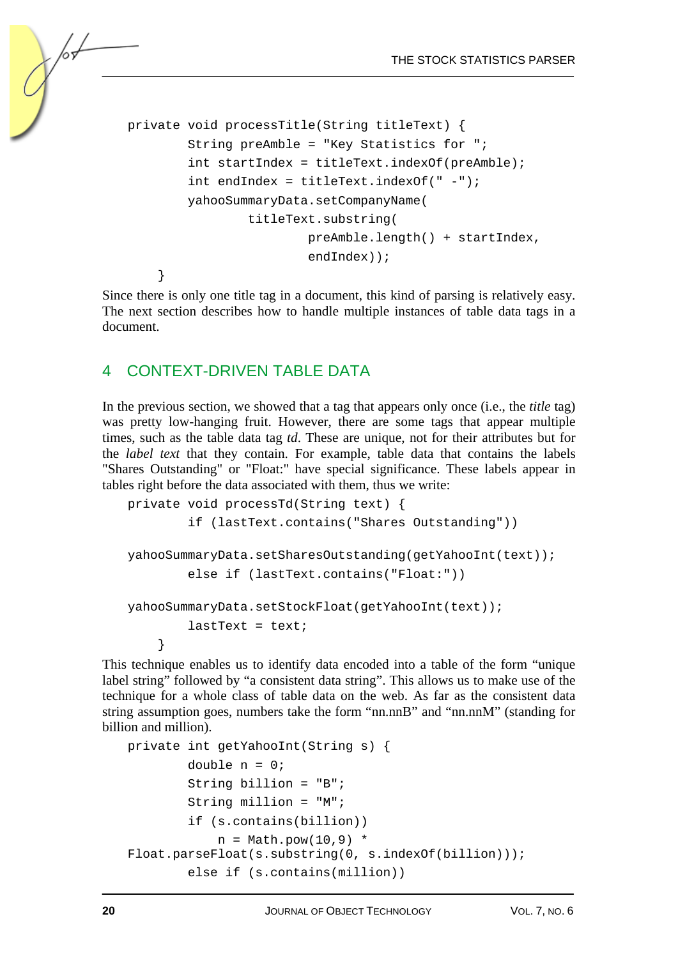```
private void processTitle(String titleText) { 
         String preAmble = "Key Statistics for "; 
         int startIndex = titleText.indexOf(preAmble); 
         int endIndex = titleText.indexOf(" -"); 
         yahooSummaryData.setCompanyName( 
                  titleText.substring( 
                           preAmble.length() + startIndex, 
                           endIndex)); 
     }
```
Since there is only one title tag in a document, this kind of parsing is relatively easy. The next section describes how to handle multiple instances of table data tags in a document.

## 4 CONTEXT-DRIVEN TABLE DATA

In the previous section, we showed that a tag that appears only once (i.e., the *title* tag) was pretty low-hanging fruit. However, there are some tags that appear multiple times, such as the table data tag *td*. These are unique, not for their attributes but for the *label text* that they contain. For example, table data that contains the labels "Shares Outstanding" or "Float:" have special significance. These labels appear in tables right before the data associated with them, thus we write:

```
private void processTd(String text) { 
         if (lastText.contains("Shares Outstanding")) 
yahooSummaryData.setSharesOutstanding(getYahooInt(text)); 
         else if (lastText.contains("Float:")) 
yahooSummaryData.setStockFloat(getYahooInt(text)); 
        lastText = text; }
```
This technique enables us to identify data encoded into a table of the form "unique label string" followed by "a consistent data string". This allows us to make use of the technique for a whole class of table data on the web. As far as the consistent data string assumption goes, numbers take the form "nn.nnB" and "nn.nnM" (standing for billion and million).

```
private int getYahooInt(String s) { 
        double n = 0;
         String billion = "B"; 
         String million = "M"; 
         if (s.contains(billion)) 
             n = \text{Math.pow}(10.9) *
Float.parseFloat(s.substring(0, s.indexOf(billion))); 
         else if (s.contains(million))
```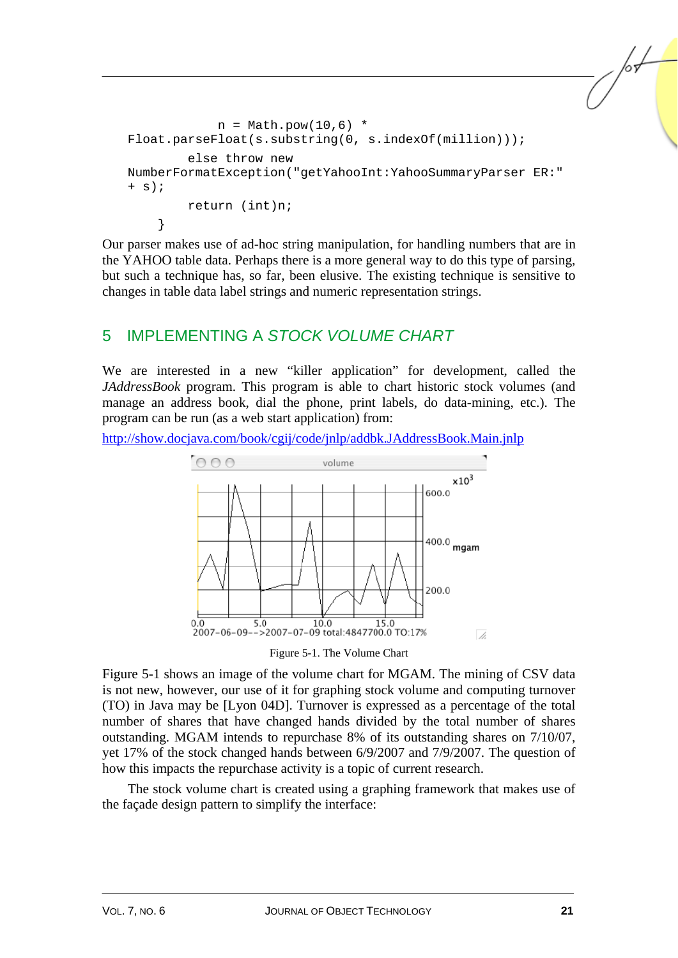```
n = Math.pow(10, 6) *
Float.parseFloat(s.substring(0, s.indexOf(million)));
         else throw new 
NumberFormatException("getYahooInt:YahooSummaryParser ER:" 
+ s);
         return (int)n; 
     }
```
Our parser makes use of ad-hoc string manipulation, for handling numbers that are in the YAHOO table data. Perhaps there is a more general way to do this type of parsing, but such a technique has, so far, been elusive. The existing technique is sensitive to changes in table data label strings and numeric representation strings.

## 5 IMPLEMENTING A *STOCK VOLUME CHART*

We are interested in a new "killer application" for development, called the *JAddressBook* program. This program is able to chart historic stock volumes (and manage an address book, dial the phone, print labels, do data-mining, etc.). The program can be run (as a web start application) from:

http://show.docjava.com/book/cgij/code/jnlp/addbk.JAddressBook.Main.jnlp



Figure 5-1. The Volume Chart

Figure 5-1 shows an image of the volume chart for MGAM. The mining of CSV data is not new, however, our use of it for graphing stock volume and computing turnover (TO) in Java may be [Lyon 04D]. Turnover is expressed as a percentage of the total number of shares that have changed hands divided by the total number of shares outstanding. MGAM intends to repurchase 8% of its outstanding shares on 7/10/07, yet 17% of the stock changed hands between 6/9/2007 and 7/9/2007. The question of how this impacts the repurchase activity is a topic of current research.

The stock volume chart is created using a graphing framework that makes use of the façade design pattern to simplify the interface: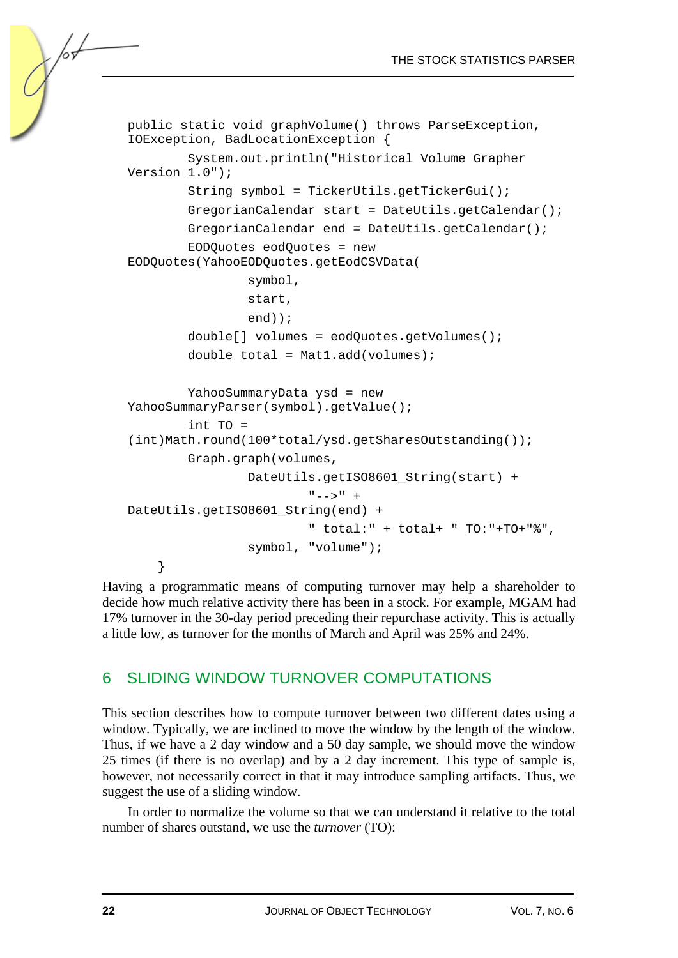```
public static void graphVolume() throws ParseException, 
IOException, BadLocationException { 
         System.out.println("Historical Volume Grapher 
Version 1.0"); 
         String symbol = TickerUtils.getTickerGui(); 
         GregorianCalendar start = DateUtils.getCalendar(); 
         GregorianCalendar end = DateUtils.getCalendar(); 
         EODQuotes eodQuotes = new 
EODQuotes(YahooEODQuotes.getEodCSVData( 
                  symbol, 
                  start, 
                  end)); 
         double[] volumes = eodQuotes.getVolumes(); 
        double total = Mat1.add(volumes);
         YahooSummaryData ysd = new 
YahooSummaryParser(symbol).getValue(); 
         int TO = 
(int)Math.round(100*total/ysd.getSharesOutstanding()); 
         Graph.graph(volumes, 
                  DateUtils.getISO8601_String(start) + 
                          " -- > " +DateUtils.getISO8601_String(end) + 
                           " total:" + total+ " TO:"+TO+"%", 
                  symbol, "volume"); 
     }
```
Having a programmatic means of computing turnover may help a shareholder to decide how much relative activity there has been in a stock. For example, MGAM had 17% turnover in the 30-day period preceding their repurchase activity. This is actually a little low, as turnover for the months of March and April was 25% and 24%.

## 6 SLIDING WINDOW TURNOVER COMPUTATIONS

This section describes how to compute turnover between two different dates using a window. Typically, we are inclined to move the window by the length of the window. Thus, if we have a 2 day window and a 50 day sample, we should move the window 25 times (if there is no overlap) and by a 2 day increment. This type of sample is, however, not necessarily correct in that it may introduce sampling artifacts. Thus, we suggest the use of a sliding window.

In order to normalize the volume so that we can understand it relative to the total number of shares outstand, we use the *turnover* (TO):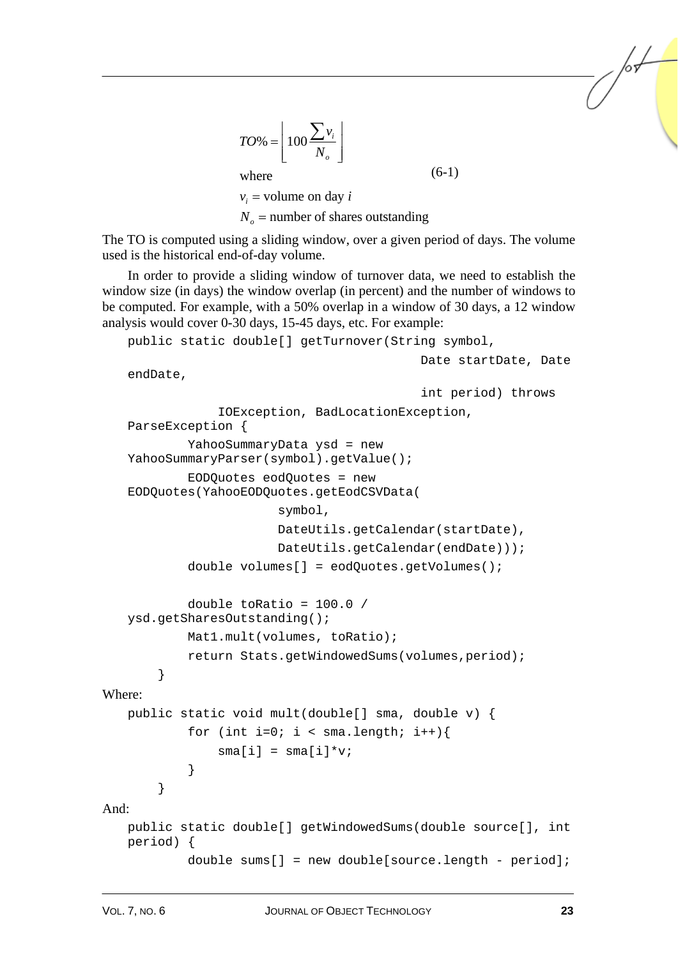$$
TO\% = \left\lfloor 100 \frac{\sum v_i}{N_o} \right\rfloor
$$
  
where  
 $v_i$  = volume on day *i*  
 $N_o$  = number of shares outstanding

The TO is computed using a sliding window, over a given period of days. The volume used is the historical end-of-day volume.

In order to provide a sliding window of turnover data, we need to establish the window size (in days) the window overlap (in percent) and the number of windows to be computed. For example, with a 50% overlap in a window of 30 days, a 12 window analysis would cover 0-30 days, 15-45 days, etc. For example:

```
public static double[] getTurnover(String symbol,
```

```
 Date startDate, Date
```

```
endDate,
```

```
 int period) throws 
                 IOException, BadLocationException, 
   ParseException { 
             YahooSummaryData ysd = new 
   YahooSummaryParser(symbol).getValue(); 
             EODQuotes eodQuotes = new 
   EODQuotes(YahooEODQuotes.getEodCSVData( 
                          symbol, 
                          DateUtils.getCalendar(startDate), 
                          DateUtils.getCalendar(endDate))); 
             double volumes[] = eodQuotes.getVolumes(); 
             double toRatio = 100.0 / 
   ysd.getSharesOutstanding(); 
             Mat1.mult(volumes, toRatio); 
             return Stats.getWindowedSums(volumes,period); 
         } 
Where: 
   public static void mult(double[] sma, double v) { 
            for (int i=0; i < sma.length; i++){
                sma[i] = sma[i]*v; } 
         } 
And: 
   public static double[] getWindowedSums(double source[], int 
   period) { 
             double sums[] = new double[source.length - period];
```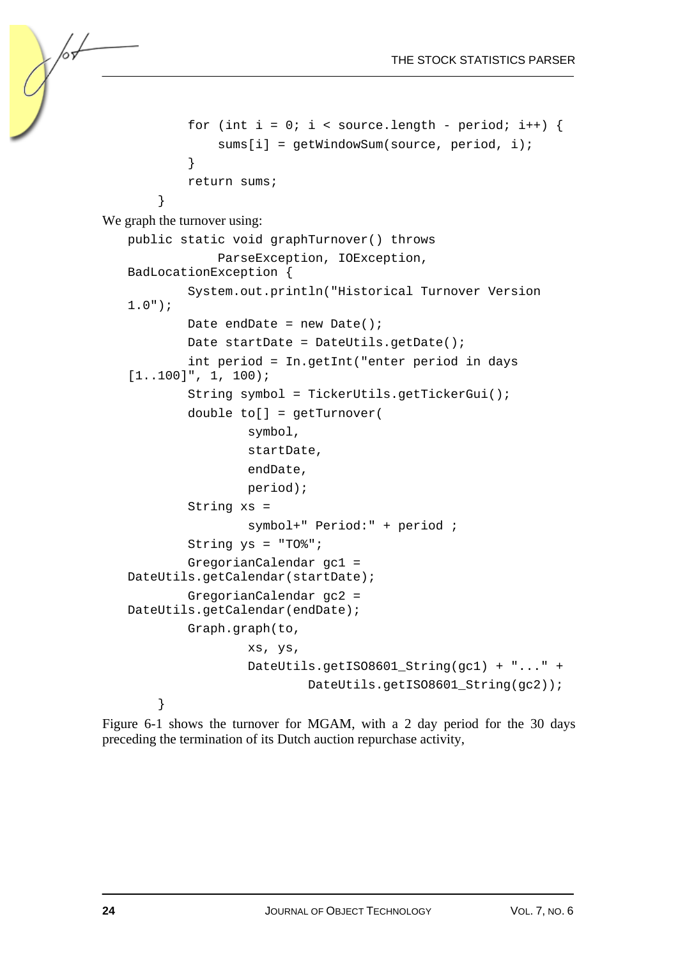```
for (int i = 0; i < source.length - period; i++) {
                 sums[i] = getWindowSum(source, period, i); 
    } 
             return sums; 
    } 
We graph the turnover using: 
   public static void graphTurnover() throws 
                 ParseException, IOException, 
   BadLocationException { 
             System.out.println("Historical Turnover Version 
   1.0"); 
            Date endDate = new Date();
            Date startDate = DateUtils.getDate();
             int period = In.getInt("enter period in days 
   [1..100]", 1, 100);
             String symbol = TickerUtils.getTickerGui(); 
             double to[] = getTurnover( 
                     symbol, 
                     startDate, 
                     endDate, 
                     period); 
             String xs = 
                     symbol+" Period:" + period ; 
            String ys = "T0";
             GregorianCalendar gc1 = 
   DateUtils.getCalendar(startDate); 
             GregorianCalendar gc2 = 
   DateUtils.getCalendar(endDate); 
             Graph.graph(to, 
                     xs, ys, 
                    DateUtils.getISO8601 String(gc1) + "..." +
                              DateUtils.getISO8601_String(gc2)); 
         }
```
Figure 6-1 shows the turnover for MGAM, with a 2 day period for the 30 days preceding the termination of its Dutch auction repurchase activity,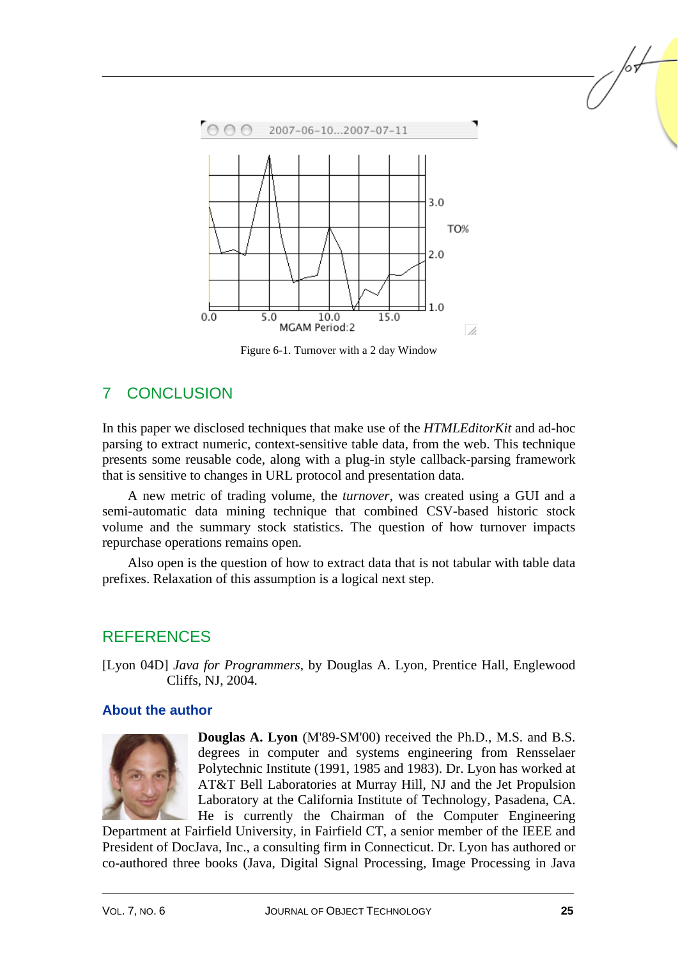

Figure 6-1. Turnover with a 2 day Window

## 7 CONCLUSION

In this paper we disclosed techniques that make use of the *HTMLEditorKit* and ad-hoc parsing to extract numeric, context-sensitive table data, from the web. This technique presents some reusable code, along with a plug-in style callback-parsing framework that is sensitive to changes in URL protocol and presentation data.

A new metric of trading volume, the *turnover*, was created using a GUI and a semi-automatic data mining technique that combined CSV-based historic stock volume and the summary stock statistics. The question of how turnover impacts repurchase operations remains open.

Also open is the question of how to extract data that is not tabular with table data prefixes. Relaxation of this assumption is a logical next step.

## REFERENCES

[Lyon 04D] *Java for Programmers*, by Douglas A. Lyon, Prentice Hall, Englewood Cliffs, NJ, 2004.

#### **About the author**



**Douglas A. Lyon** (M'89-SM'00) received the Ph.D., M.S. and B.S. degrees in computer and systems engineering from Rensselaer Polytechnic Institute (1991, 1985 and 1983). Dr. Lyon has worked at AT&T Bell Laboratories at Murray Hill, NJ and the Jet Propulsion Laboratory at the California Institute of Technology, Pasadena, CA. He is currently the Chairman of the Computer Engineering

Department at Fairfield University, in Fairfield CT, a senior member of the IEEE and President of DocJava, Inc., a consulting firm in Connecticut. Dr. Lyon has authored or co-authored three books (Java, Digital Signal Processing, Image Processing in Java